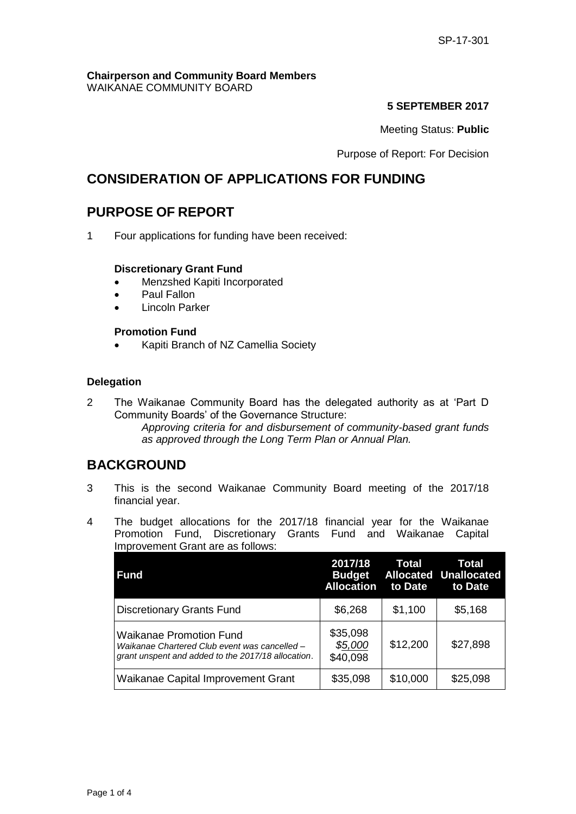#### **Chairperson and Community Board Members** WAIKANAE COMMUNITY BOARD

### **5 SEPTEMBER 2017**

Meeting Status: **Public**

Purpose of Report: For Decision

# **CONSIDERATION OF APPLICATIONS FOR FUNDING**

# **PURPOSE OF REPORT**

1 Four applications for funding have been received:

### **Discretionary Grant Fund**

- Menzshed Kapiti Incorporated
- Paul Fallon
- Lincoln Parker

### **Promotion Fund**

Kapiti Branch of NZ Camellia Society

### **Delegation**

2 The Waikanae Community Board has the delegated authority as at 'Part D Community Boards' of the Governance Structure: *Approving criteria for and disbursement of community-based grant funds as approved through the Long Term Plan or Annual Plan.* 

# **BACKGROUND**

- 3 This is the second Waikanae Community Board meeting of the 2017/18 financial year.
- 4 The budget allocations for the 2017/18 financial year for the Waikanae Promotion Fund, Discretionary Grants Fund and Waikanae Capital Improvement Grant are as follows:

| <b>Fund</b>                                                                                                                           | 2017/18<br><b>Budget</b><br><b>Allocation</b> | <b>Total</b><br>to Date | Total<br><b>Allocated Unallocated</b><br>to Date |
|---------------------------------------------------------------------------------------------------------------------------------------|-----------------------------------------------|-------------------------|--------------------------------------------------|
| <b>Discretionary Grants Fund</b>                                                                                                      | \$6,268                                       | \$1,100                 | \$5,168                                          |
| <b>Waikanae Promotion Fund</b><br>Waikanae Chartered Club event was cancelled -<br>grant unspent and added to the 2017/18 allocation. | \$35,098<br>\$5,000<br>\$40,098               | \$12,200                | \$27,898                                         |
| Waikanae Capital Improvement Grant                                                                                                    | \$35,098                                      | \$10,000                | \$25,098                                         |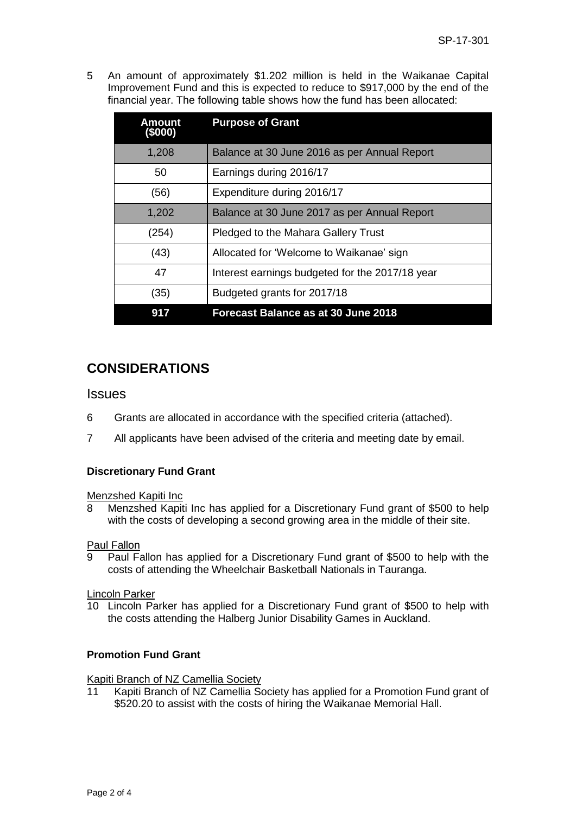5 An amount of approximately \$1.202 million is held in the Waikanae Capital Improvement Fund and this is expected to reduce to \$917,000 by the end of the financial year. The following table shows how the fund has been allocated:

| Amount<br>(\$000) | <b>Purpose of Grant</b>                         |
|-------------------|-------------------------------------------------|
| 1,208             | Balance at 30 June 2016 as per Annual Report    |
| 50                | Earnings during 2016/17                         |
| (56)              | Expenditure during 2016/17                      |
| 1,202             | Balance at 30 June 2017 as per Annual Report    |
| (254)             | Pledged to the Mahara Gallery Trust             |
| (43)              | Allocated for 'Welcome to Waikanae' sign        |
| 47                | Interest earnings budgeted for the 2017/18 year |
| (35)              | Budgeted grants for 2017/18                     |
| 917               | Forecast Balance as at 30 June 2018             |

# **CONSIDERATIONS**

## **Issues**

- 6 Grants are allocated in accordance with the specified criteria (attached).
- 7 All applicants have been advised of the criteria and meeting date by email.

### **Discretionary Fund Grant**

### Menzshed Kapiti Inc

8 Menzshed Kapiti Inc has applied for a Discretionary Fund grant of \$500 to help with the costs of developing a second growing area in the middle of their site.

### Paul Fallon

9 Paul Fallon has applied for a Discretionary Fund grant of \$500 to help with the costs of attending the Wheelchair Basketball Nationals in Tauranga.

### Lincoln Parker

10 Lincoln Parker has applied for a Discretionary Fund grant of \$500 to help with the costs attending the Halberg Junior Disability Games in Auckland.

### **Promotion Fund Grant**

### Kapiti Branch of NZ Camellia Society

11 Kapiti Branch of NZ Camellia Society has applied for a Promotion Fund grant of \$520.20 to assist with the costs of hiring the Waikanae Memorial Hall.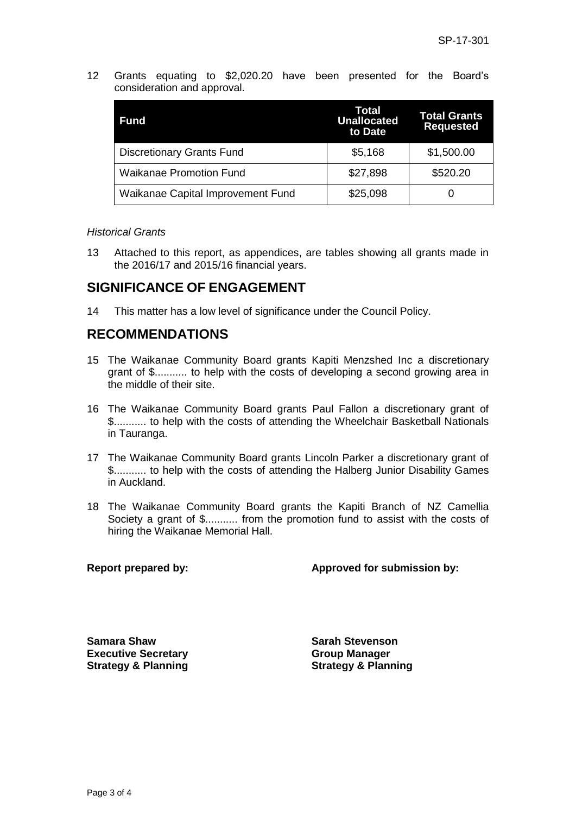12 Grants equating to \$2,020.20 have been presented for the Board's consideration and approval.

| Fund                              | Total<br><b>Unallocated</b><br>to Date | <b>Total Grants</b><br><b>Requested</b> |
|-----------------------------------|----------------------------------------|-----------------------------------------|
| <b>Discretionary Grants Fund</b>  | \$5,168                                | \$1,500.00                              |
| <b>Waikanae Promotion Fund</b>    | \$27,898                               | \$520.20                                |
| Waikanae Capital Improvement Fund | \$25,098                               |                                         |

#### *Historical Grants*

13 Attached to this report, as appendices, are tables showing all grants made in the 2016/17 and 2015/16 financial years.

# **SIGNIFICANCE OF ENGAGEMENT**

14 This matter has a low level of significance under the Council Policy.

# **RECOMMENDATIONS**

- 15 The Waikanae Community Board grants Kapiti Menzshed Inc a discretionary grant of \$........... to help with the costs of developing a second growing area in the middle of their site.
- 16 The Waikanae Community Board grants Paul Fallon a discretionary grant of \$........... to help with the costs of attending the Wheelchair Basketball Nationals in Tauranga.
- 17 The Waikanae Community Board grants Lincoln Parker a discretionary grant of \$........... to help with the costs of attending the Halberg Junior Disability Games in Auckland.
- 18 The Waikanae Community Board grants the Kapiti Branch of NZ Camellia Society a grant of \$........... from the promotion fund to assist with the costs of hiring the Waikanae Memorial Hall.

### **Report prepared by: Approved for submission by:**

**Samara Shaw Sarah Stevenson Executive Secretary Strategy & Planning**

**Group Manager Strategy & Planning**